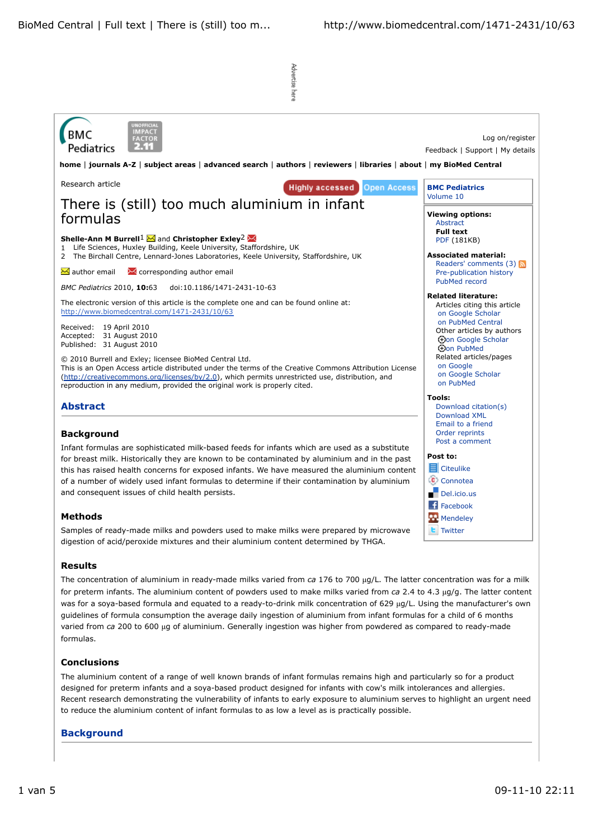

# **Post to:**

**目** Citeulike Connotea Del.icio.us

Facebook

**Mendeley** 

**L** Twitter

Infant formulas are sophisticated milk-based feeds for infants which are used as a substitute for breast milk. Historically they are known to be contaminated by aluminium and in the past this has raised health concerns for exposed infants. We have measured the aluminium content of a number of widely used infant formulas to determine if their contamination by aluminium and consequent issues of child health persists.

## **Methods**

Samples of ready-made milks and powders used to make milks were prepared by microwave digestion of acid/peroxide mixtures and their aluminium content determined by THGA.

## **Results**

The concentration of aluminium in ready-made milks varied from *ca* 176 to 700 µg/L. The latter concentration was for a milk for preterm infants. The aluminium content of powders used to make milks varied from *ca* 2.4 to 4.3 µg/g. The latter content was for a soya-based formula and equated to a ready-to-drink milk concentration of 629 µg/L. Using the manufacturer's own guidelines of formula consumption the average daily ingestion of aluminium from infant formulas for a child of 6 months varied from *ca* 200 to 600 µg of aluminium. Generally ingestion was higher from powdered as compared to ready-made formulas.

## **Conclusions**

The aluminium content of a range of well known brands of infant formulas remains high and particularly so for a product designed for preterm infants and a soya-based product designed for infants with cow's milk intolerances and allergies. Recent research demonstrating the vulnerability of infants to early exposure to aluminium serves to highlight an urgent need to reduce the aluminium content of infant formulas to as low a level as is practically possible.

## **Background**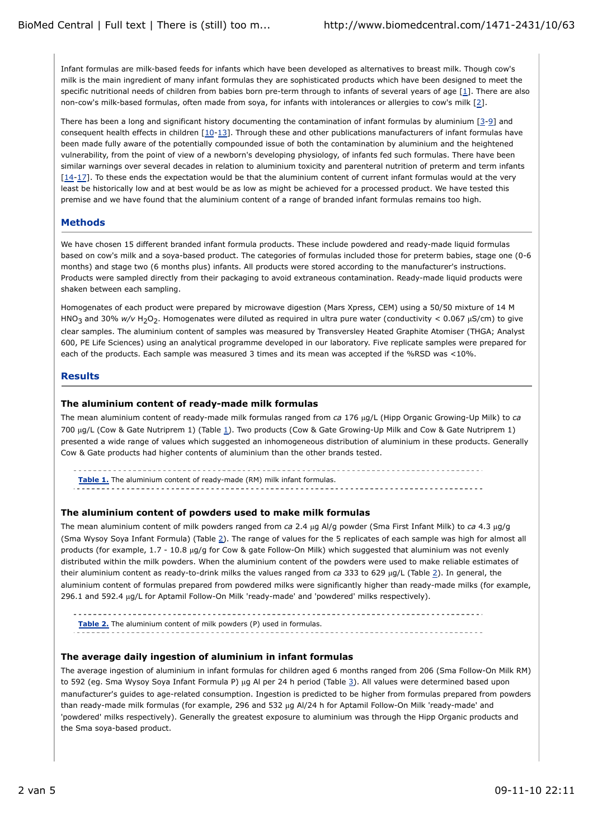Infant formulas are milk-based feeds for infants which have been developed as alternatives to breast milk. Though cow's milk is the main ingredient of many infant formulas they are sophisticated products which have been designed to meet the specific nutritional needs of children from babies born pre-term through to infants of several years of age [1]. There are also non-cow's milk-based formulas, often made from soya, for infants with intolerances or allergies to cow's milk [2].

There has been a long and significant history documenting the contamination of infant formulas by aluminium  $[3-9]$  and consequent health effects in children  $[10-13]$ . Through these and other publications manufacturers of infant formulas have been made fully aware of the potentially compounded issue of both the contamination by aluminium and the heightened vulnerability, from the point of view of a newborn's developing physiology, of infants fed such formulas. There have been similar warnings over several decades in relation to aluminium toxicity and parenteral nutrition of preterm and term infants [14-17]. To these ends the expectation would be that the aluminium content of current infant formulas would at the very least be historically low and at best would be as low as might be achieved for a processed product. We have tested this premise and we have found that the aluminium content of a range of branded infant formulas remains too high.

## **Methods**

We have chosen 15 different branded infant formula products. These include powdered and ready-made liquid formulas based on cow's milk and a soya-based product. The categories of formulas included those for preterm babies, stage one (0-6 months) and stage two (6 months plus) infants. All products were stored according to the manufacturer's instructions. Products were sampled directly from their packaging to avoid extraneous contamination. Ready-made liquid products were shaken between each sampling.

Homogenates of each product were prepared by microwave digestion (Mars Xpress, CEM) using a 50/50 mixture of 14 M HNO<sub>3</sub> and 30% w/v H<sub>2</sub>O<sub>2</sub>. Homogenates were diluted as required in ultra pure water (conductivity < 0.067 µS/cm) to give clear samples. The aluminium content of samples was measured by Transversley Heated Graphite Atomiser (THGA; Analyst 600, PE Life Sciences) using an analytical programme developed in our laboratory. Five replicate samples were prepared for each of the products. Each sample was measured 3 times and its mean was accepted if the %RSD was <10%.

### **Results**

### **The aluminium content of ready-made milk formulas**

The mean aluminium content of ready-made milk formulas ranged from *ca* 176 µg/L (Hipp Organic Growing-Up Milk) to *ca* 700 µg/L (Cow & Gate Nutriprem 1) (Table 1). Two products (Cow & Gate Growing-Up Milk and Cow & Gate Nutriprem 1) presented a wide range of values which suggested an inhomogeneous distribution of aluminium in these products. Generally Cow & Gate products had higher contents of aluminium than the other brands tested.

**Table 1.** The aluminium content of ready-made (RM) milk infant formulas.

## **The aluminium content of powders used to make milk formulas**

The mean aluminium content of milk powders ranged from *ca* 2.4 µg Al/g powder (Sma First Infant Milk) to *ca* 4.3 µg/g (Sma Wysoy Soya Infant Formula) (Table 2). The range of values for the 5 replicates of each sample was high for almost all products (for example, 1.7 - 10.8 µg/g for Cow & gate Follow-On Milk) which suggested that aluminium was not evenly distributed within the milk powders. When the aluminium content of the powders were used to make reliable estimates of their aluminium content as ready-to-drink milks the values ranged from *ca* 333 to 629 µg/L (Table 2). In general, the aluminium content of formulas prepared from powdered milks were significantly higher than ready-made milks (for example, 296.1 and 592.4 µg/L for Aptamil Follow-On Milk 'ready-made' and 'powdered' milks respectively).

**Table 2.** The aluminium content of milk powders (P) used in formulas.

## **The average daily ingestion of aluminium in infant formulas**

The average ingestion of aluminium in infant formulas for children aged 6 months ranged from 206 (Sma Follow-On Milk RM) to 592 (eg. Sma Wysoy Soya Infant Formula P) µg Al per 24 h period (Table 3). All values were determined based upon manufacturer's guides to age-related consumption. Ingestion is predicted to be higher from formulas prepared from powders than ready-made milk formulas (for example, 296 and 532 µg Al/24 h for Aptamil Follow-On Milk 'ready-made' and 'powdered' milks respectively). Generally the greatest exposure to aluminium was through the Hipp Organic products and the Sma soya-based product.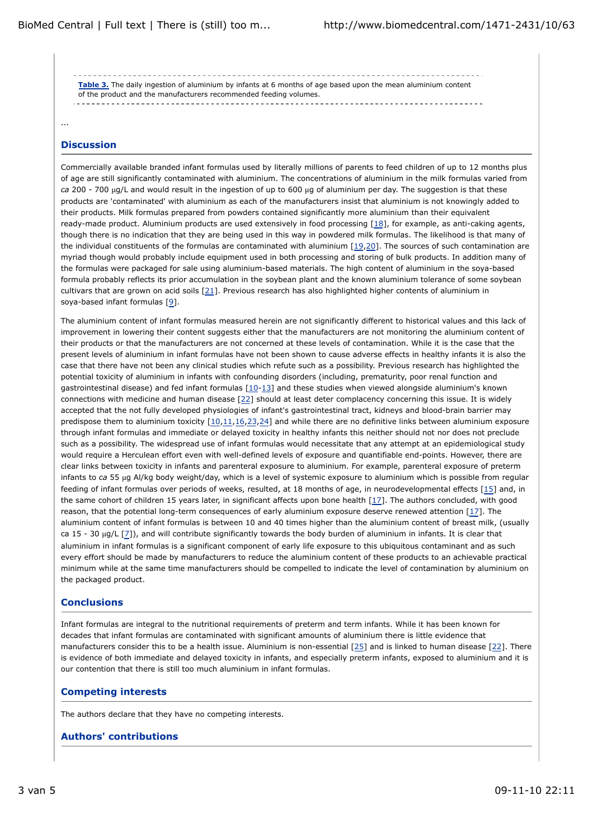**Table 3.** The daily ingestion of aluminium by infants at 6 months of age based upon the mean aluminium content of the product and the manufacturers recommended feeding volumes.

...

### **Discussion**

Commercially available branded infant formulas used by literally millions of parents to feed children of up to 12 months plus of age are still significantly contaminated with aluminium. The concentrations of aluminium in the milk formulas varied from *ca* 200 - 700 µg/L and would result in the ingestion of up to 600 µg of aluminium per day. The suggestion is that these products are 'contaminated' with aluminium as each of the manufacturers insist that aluminium is not knowingly added to their products. Milk formulas prepared from powders contained significantly more aluminium than their equivalent ready-made product. Aluminium products are used extensively in food processing  $[18]$ , for example, as anti-caking agents, though there is no indication that they are being used in this way in powdered milk formulas. The likelihood is that many of the individual constituents of the formulas are contaminated with aluminium  $[19,20]$ . The sources of such contamination are myriad though would probably include equipment used in both processing and storing of bulk products. In addition many of the formulas were packaged for sale using aluminium-based materials. The high content of aluminium in the soya-based formula probably reflects its prior accumulation in the soybean plant and the known aluminium tolerance of some soybean cultivars that are grown on acid soils [21]. Previous research has also highlighted higher contents of aluminium in soya-based infant formulas [9].

The aluminium content of infant formulas measured herein are not significantly different to historical values and this lack of improvement in lowering their content suggests either that the manufacturers are not monitoring the aluminium content of their products or that the manufacturers are not concerned at these levels of contamination. While it is the case that the present levels of aluminium in infant formulas have not been shown to cause adverse effects in healthy infants it is also the case that there have not been any clinical studies which refute such as a possibility. Previous research has highlighted the potential toxicity of aluminium in infants with confounding disorders (including, prematurity, poor renal function and gastrointestinal disease) and fed infant formulas [10-13] and these studies when viewed alongside aluminium's known connections with medicine and human disease [22] should at least deter complacency concerning this issue. It is widely accepted that the not fully developed physiologies of infant's gastrointestinal tract, kidneys and blood-brain barrier may predispose them to aluminium toxicity [10,11,16,23,24] and while there are no definitive links between aluminium exposure through infant formulas and immediate or delayed toxicity in healthy infants this neither should not nor does not preclude such as a possibility. The widespread use of infant formulas would necessitate that any attempt at an epidemiological study would require a Herculean effort even with well-defined levels of exposure and quantifiable end-points. However, there are clear links between toxicity in infants and parenteral exposure to aluminium. For example, parenteral exposure of preterm infants to *ca* 55 µg Al/kg body weight/day, which is a level of systemic exposure to aluminium which is possible from regular feeding of infant formulas over periods of weeks, resulted, at 18 months of age, in neurodevelopmental effects [15] and, in the same cohort of children 15 years later, in significant affects upon bone health [17]. The authors concluded, with good reason, that the potential long-term consequences of early aluminium exposure deserve renewed attention [17]. The aluminium content of infant formulas is between 10 and 40 times higher than the aluminium content of breast milk, (usually ca 15 - 30 µg/L [7]), and will contribute significantly towards the body burden of aluminium in infants. It is clear that aluminium in infant formulas is a significant component of early life exposure to this ubiquitous contaminant and as such every effort should be made by manufacturers to reduce the aluminium content of these products to an achievable practical minimum while at the same time manufacturers should be compelled to indicate the level of contamination by aluminium on the packaged product.

## **Conclusions**

Infant formulas are integral to the nutritional requirements of preterm and term infants. While it has been known for decades that infant formulas are contaminated with significant amounts of aluminium there is little evidence that manufacturers consider this to be a health issue. Aluminium is non-essential [25] and is linked to human disease [22]. There is evidence of both immediate and delayed toxicity in infants, and especially preterm infants, exposed to aluminium and it is our contention that there is still too much aluminium in infant formulas.

## **Competing interests**

The authors declare that they have no competing interests.

#### **Authors' contributions**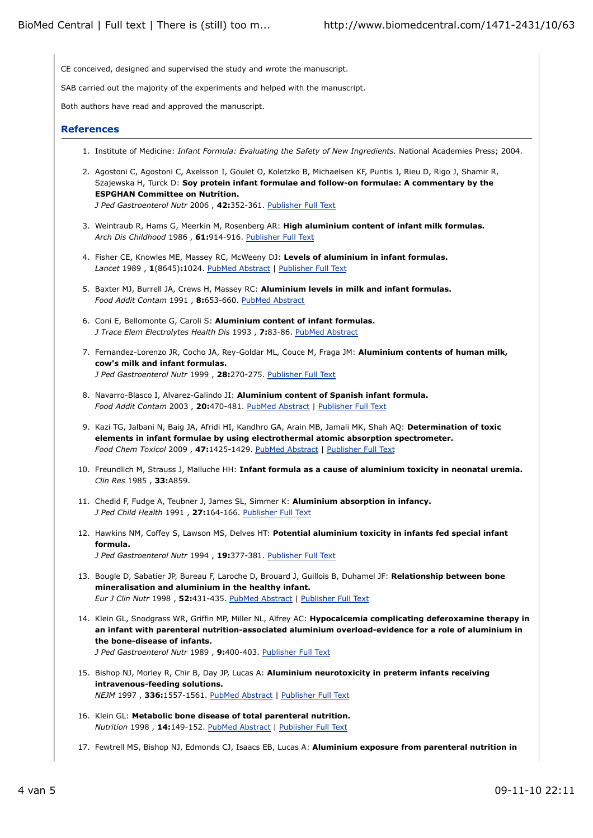